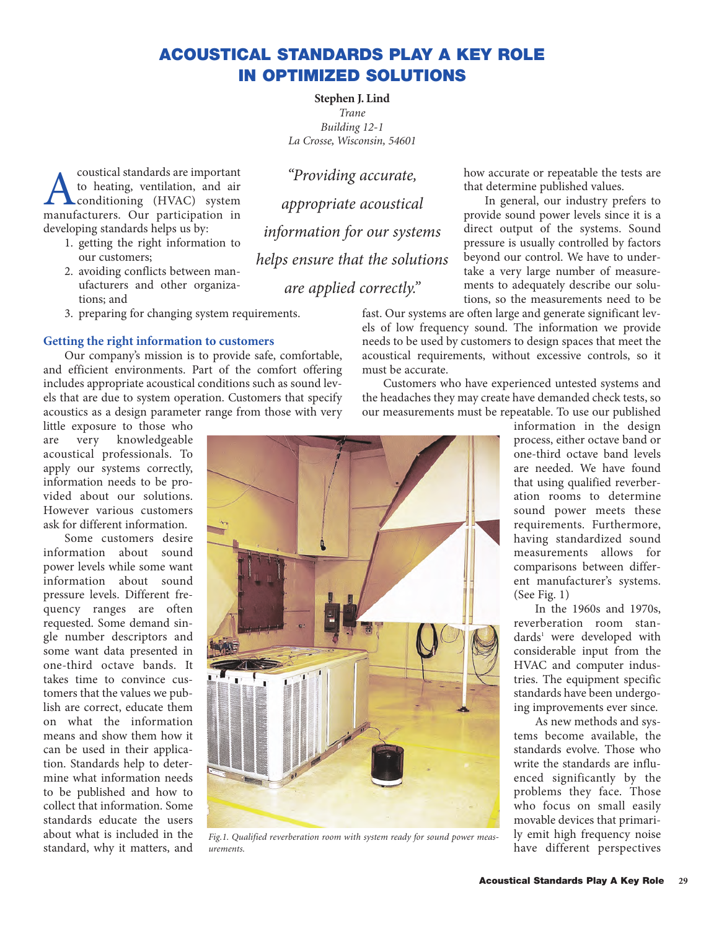# **ACOUSTICAL STANDARDS PLAY A KEY ROLE IN OPTIMIZED SOLUTIONS**

**Stephen J. Lind** *Trane Building 12-1 La Crosse, Wisconsin, 54601*

**A** coustical standards are important<br>to heating, ventilation, and air<br>manufacturers. Our participation in to heating, ventilation, and air **L**conditioning (HVAC) system manufacturers. Our participation in developing standards helps us by:

- 1. getting the right information to our customers;
- 2. avoiding conflicts between manufacturers and other organizations; and
- 3. preparing for changing system requirements.

## **Getting the right information to customers**

Our company's mission is to provide safe, comfortable, and efficient environments. Part of the comfort offering includes appropriate acoustical conditions such as sound levels that are due to system operation. Customers that specify acoustics as a design parameter range from those with very

little exposure to those who are very knowledgeable acoustical professionals. To apply our systems correctly, information needs to be provided about our solutions. However various customers ask for different information.

Some customers desire information about sound power levels while some want information about sound pressure levels. Different frequency ranges are often requested. Some demand single number descriptors and some want data presented in one-third octave bands. It takes time to convince customers that the values we publish are correct, educate them on what the information means and show them how it can be used in their application. Standards help to determine what information needs to be published and how to collect that information. Some standards educate the users about what is included in the standard, why it matters, and

*"Providing accurate, appropriate acoustical information for our systems helps ensure that the solutions are applied correctly."*

how accurate or repeatable the tests are that determine published values.

In general, our industry prefers to provide sound power levels since it is a direct output of the systems. Sound pressure is usually controlled by factors beyond our control. We have to undertake a very large number of measurements to adequately describe our solutions, so the measurements need to be

fast. Our systems are often large and generate significant levels of low frequency sound. The information we provide needs to be used by customers to design spaces that meet the acoustical requirements, without excessive controls, so it must be accurate.

Customers who have experienced untested systems and the headaches they may create have demanded check tests, so our measurements must be repeatable. To use our published



*Fig.1. Qualified reverberation room with system ready for sound power measurements.*

information in the design process, either octave band or one-third octave band levels are needed. We have found that using qualified reverberation rooms to determine sound power meets these requirements. Furthermore, having standardized sound measurements allows for comparisons between different manufacturer's systems. (See Fig. 1)

In the 1960s and 1970s, reverberation room standards<sup>1</sup> were developed with considerable input from the HVAC and computer industries. The equipment specific standards have been undergoing improvements ever since.

As new methods and systems become available, the standards evolve. Those who write the standards are influenced significantly by the problems they face. Those who focus on small easily movable devices that primarily emit high frequency noise have different perspectives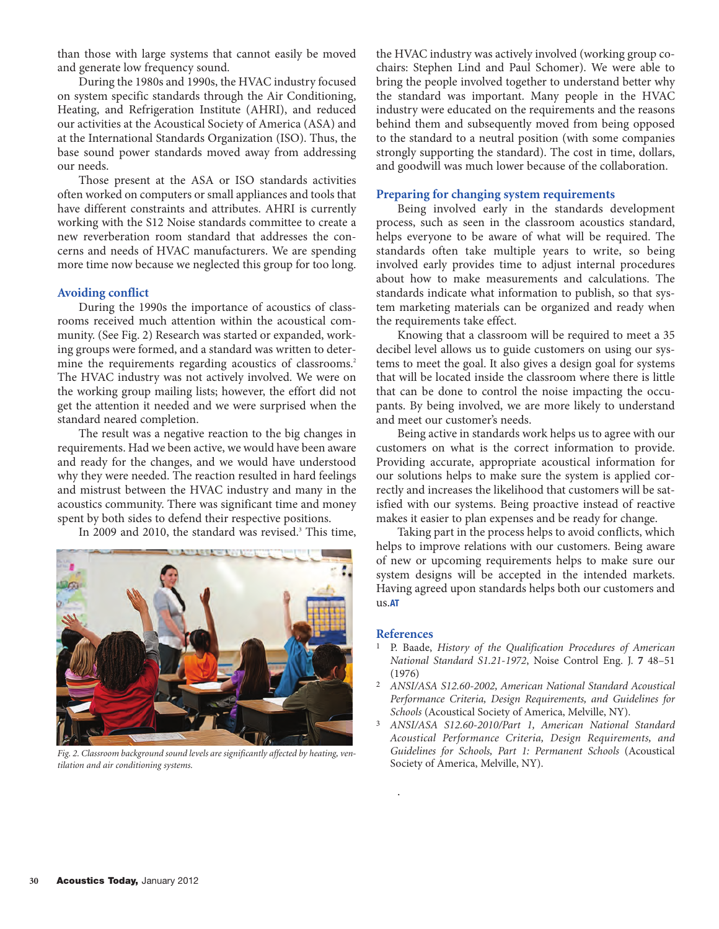than those with large systems that cannot easily be moved and generate low frequency sound.

During the 1980s and 1990s, the HVAC industry focused on system specific standards through the Air Conditioning, Heating, and Refrigeration Institute (AHRI), and reduced our activities at the Acoustical Society of America (ASA) and at the International Standards Organization (ISO). Thus, the base sound power standards moved away from addressing our needs.

Those present at the ASA or ISO standards activities often worked on computers or small appliances and tools that have different constraints and attributes. AHRI is currently working with the S12 Noise standards committee to create a new reverberation room standard that addresses the concerns and needs of HVAC manufacturers. We are spending more time now because we neglected this group for too long.

## **Avoiding conflict**

During the 1990s the importance of acoustics of classrooms received much attention within the acoustical community. (See Fig. 2) Research was started or expanded, working groups were formed, and a standard was written to determine the requirements regarding acoustics of classrooms.<sup>2</sup> The HVAC industry was not actively involved. We were on the working group mailing lists; however, the effort did not get the attention it needed and we were surprised when the standard neared completion.

The result was a negative reaction to the big changes in requirements. Had we been active, we would have been aware and ready for the changes, and we would have understood why they were needed. The reaction resulted in hard feelings and mistrust between the HVAC industry and many in the acoustics community. There was significant time and money spent by both sides to defend their respective positions.

In 2009 and 2010, the standard was revised.<sup>3</sup> This time,



*Fig. 2. Classroom background sound levels are significantly affected by heating, ventilation and air conditioning systems.* 

the HVAC industry was actively involved (working group cochairs: Stephen Lind and Paul Schomer). We were able to bring the people involved together to understand better why the standard was important. Many people in the HVAC industry were educated on the requirements and the reasons behind them and subsequently moved from being opposed to the standard to a neutral position (with some companies strongly supporting the standard). The cost in time, dollars, and goodwill was much lower because of the collaboration.

## **Preparing for changing system requirements**

Being involved early in the standards development process, such as seen in the classroom acoustics standard, helps everyone to be aware of what will be required. The standards often take multiple years to write, so being involved early provides time to adjust internal procedures about how to make measurements and calculations. The standards indicate what information to publish, so that system marketing materials can be organized and ready when the requirements take effect.

Knowing that a classroom will be required to meet a 35 decibel level allows us to guide customers on using our systems to meet the goal. It also gives a design goal for systems that will be located inside the classroom where there is little that can be done to control the noise impacting the occupants. By being involved, we are more likely to understand and meet our customer's needs.

Being active in standards work helps us to agree with our customers on what is the correct information to provide. Providing accurate, appropriate acoustical information for our solutions helps to make sure the system is applied correctly and increases the likelihood that customers will be satisfied with our systems. Being proactive instead of reactive makes it easier to plan expenses and be ready for change.

Taking part in the process helps to avoid conflicts, which helps to improve relations with our customers. Being aware of new or upcoming requirements helps to make sure our system designs will be accepted in the intended markets. Having agreed upon standards helps both our customers and us.**AT**

#### **References**

.

- 1 P. Baade, *History of the Qualification Procedures of American National Standard S1.21-1972*, Noise Control Eng. J. **7** 48–51 (1976)
- 2 *ANSI/ASA S12.60-2002, American National Standard Acoustical Performance Criteria, Design Requirements, and Guidelines for Schools* (Acoustical Society of America, Melville, NY).
- 3 *ANSI/ASA S12.60-2010/Part 1, American National Standard Acoustical Performance Criteria, Design Requirements, and Guidelines for Schools, Part 1: Permanent Schools* (Acoustical Society of America, Melville, NY).